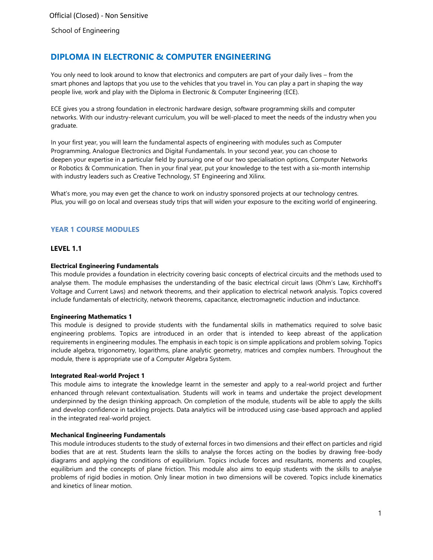# **DIPLOMA IN ELECTRONIC & COMPUTER ENGINEERING**

You only need to look around to know that electronics and computers are part of your daily lives – from the smart phones and laptops that you use to the vehicles that you travel in. You can play a part in shaping the way people live, work and play with the Diploma in Electronic & Computer Engineering (ECE).

ECE gives you a strong foundation in electronic hardware design, software programming skills and computer networks. With our industry-relevant curriculum, you will be well-placed to meet the needs of the industry when you graduate.

In your first year, you will learn the fundamental aspects of engineering with modules such as Computer Programming, Analogue Electronics and Digital Fundamentals. In your second year, you can choose to deepen your expertise in a particular field by pursuing one of our two specialisation options, Computer Networks or Robotics & Communication. Then in your final year, put your knowledge to the test with a six-month internship with industry leaders such as Creative Technology, ST Engineering and Xilinx.

What's more, you may even get the chance to work on industry sponsored projects at our technology centres. Plus, you will go on local and overseas study trips that will widen your exposure to the exciting world of engineering.

# **YEAR 1 COURSE MODULES**

# **LEVEL 1.1**

### **Electrical Engineering Fundamentals**

This module provides a foundation in electricity covering basic concepts of electrical circuits and the methods used to analyse them. The module emphasises the understanding of the basic electrical circuit laws (Ohm's Law, Kirchhoff's Voltage and Current Laws) and network theorems, and their application to electrical network analysis. Topics covered include fundamentals of electricity, network theorems, capacitance, electromagnetic induction and inductance.

#### **Engineering Mathematics 1**

This module is designed to provide students with the fundamental skills in mathematics required to solve basic engineering problems. Topics are introduced in an order that is intended to keep abreast of the application requirements in engineering modules. The emphasis in each topic is on simple applications and problem solving. Topics include algebra, trigonometry, logarithms, plane analytic geometry, matrices and complex numbers. Throughout the module, there is appropriate use of a Computer Algebra System.

#### **Integrated Real-world Project 1**

This module aims to integrate the knowledge learnt in the semester and apply to a real-world project and further enhanced through relevant contextualisation. Students will work in teams and undertake the project development underpinned by the design thinking approach. On completion of the module, students will be able to apply the skills and develop confidence in tackling projects. Data analytics will be introduced using case-based approach and applied in the integrated real-world project.

# **Mechanical Engineering Fundamentals**

This module introduces students to the study of external forces in two dimensions and their effect on particles and rigid bodies that are at rest. Students learn the skills to analyse the forces acting on the bodies by drawing free-body diagrams and applying the conditions of equilibrium. Topics include forces and resultants, moments and couples, equilibrium and the concepts of plane friction. This module also aims to equip students with the skills to analyse problems of rigid bodies in motion. Only linear motion in two dimensions will be covered. Topics include kinematics and kinetics of linear motion.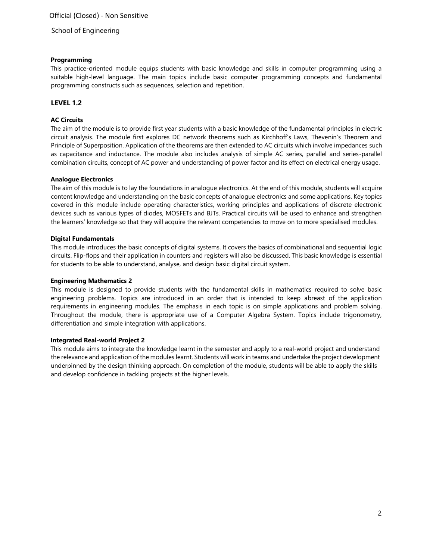### **Programming**

This practice-oriented module equips students with basic knowledge and skills in computer programming using a suitable high-level language. The main topics include basic computer programming concepts and fundamental programming constructs such as sequences, selection and repetition.

# **LEVEL 1.2**

# **AC Circuits**

The aim of the module is to provide first year students with a basic knowledge of the fundamental principles in electric circuit analysis. The module first explores DC network theorems such as Kirchhoff's Laws, Thevenin's Theorem and Principle of Superposition. Application of the theorems are then extended to AC circuits which involve impedances such as capacitance and inductance. The module also includes analysis of simple AC series, parallel and series-parallel combination circuits, concept of AC power and understanding of power factor and its effect on electrical energy usage.

### **Analogue Electronics**

The aim of this module is to lay the foundations in analogue electronics. At the end of this module, students will acquire content knowledge and understanding on the basic concepts of analogue electronics and some applications. Key topics covered in this module include operating characteristics, working principles and applications of discrete electronic devices such as various types of diodes, MOSFETs and BJTs. Practical circuits will be used to enhance and strengthen the learners' knowledge so that they will acquire the relevant competencies to move on to more specialised modules.

### **Digital Fundamentals**

This module introduces the basic concepts of digital systems. It covers the basics of combinational and sequential logic circuits. Flip-flops and their application in counters and registers will also be discussed. This basic knowledge is essential for students to be able to understand, analyse, and design basic digital circuit system.

#### **Engineering Mathematics 2**

This module is designed to provide students with the fundamental skills in mathematics required to solve basic engineering problems. Topics are introduced in an order that is intended to keep abreast of the application requirements in engineering modules. The emphasis in each topic is on simple applications and problem solving. Throughout the module, there is appropriate use of a Computer Algebra System. Topics include trigonometry, differentiation and simple integration with applications.

#### **Integrated Real-world Project 2**

This module aims to integrate the knowledge learnt in the semester and apply to a real-world project and understand the relevance and application of the modules learnt. Students will work in teams and undertake the project development underpinned by the design thinking approach. On completion of the module, students will be able to apply the skills and develop confidence in tackling projects at the higher levels.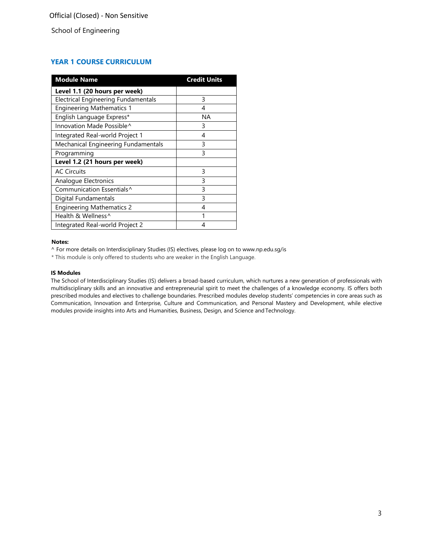# **YEAR 1 COURSE CURRICULUM**

| <b>Module Name</b>                         | <b>Credit Units</b> |
|--------------------------------------------|---------------------|
| Level 1.1 (20 hours per week)              |                     |
| <b>Electrical Engineering Fundamentals</b> | 3                   |
| <b>Engineering Mathematics 1</b>           | 4                   |
| English Language Express*                  | NА                  |
| Innovation Made Possible^                  | 3                   |
| Integrated Real-world Project 1            | 4                   |
| Mechanical Engineering Fundamentals        | 3                   |
| Programming                                | 3                   |
| Level 1.2 (21 hours per week)              |                     |
| <b>AC Circuits</b>                         | 3                   |
| Analogue Electronics                       | 3                   |
| Communication Essentials <sup>^</sup>      | 3                   |
| Digital Fundamentals                       | 3                   |
| <b>Engineering Mathematics 2</b>           | 4                   |
| Health & Wellness^                         |                     |
| Integrated Real-world Project 2            |                     |

#### **Notes:**

^ For more details on Interdisciplinary Studies (IS) electives, please log on to [www.np.edu.sg/is](http://www.np.edu.sg/is/)

\* This module is only offered to students who are weaker in the English Language.

#### **IS Modules**

The School of Interdisciplinary Studies (IS) delivers a broad-based curriculum, which nurtures a new generation of professionals with multidisciplinary skills and an innovative and entrepreneurial spirit to meet the challenges of a knowledge economy. IS offers both prescribed modules and electives to challenge boundaries. Prescribed modules develop students' competencies in core areas such as Communication, Innovation and Enterprise, Culture and Communication, and Personal Mastery and Development, while elective modules provide insights into Arts and Humanities, Business, Design, and Science andTechnology.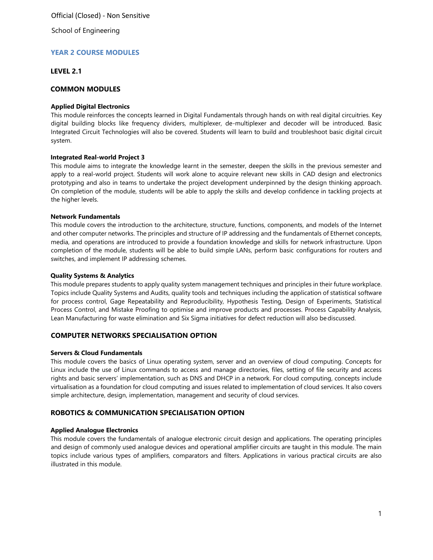School of Engineering

# **YEAR 2 COURSE MODULES**

### **LEVEL 2.1**

# **COMMON MODULES**

#### **Applied Digital Electronics**

This module reinforces the concepts learned in Digital Fundamentals through hands on with real digital circuitries. Key digital building blocks like frequency dividers, multiplexer, de-multiplexer and decoder will be introduced. Basic Integrated Circuit Technologies will also be covered. Students will learn to build and troubleshoot basic digital circuit system.

### **Integrated Real-world Project 3**

This module aims to integrate the knowledge learnt in the semester, deepen the skills in the previous semester and apply to a real-world project. Students will work alone to acquire relevant new skills in CAD design and electronics prototyping and also in teams to undertake the project development underpinned by the design thinking approach. On completion of the module, students will be able to apply the skills and develop confidence in tackling projects at the higher levels.

#### **Network Fundamentals**

This module covers the introduction to the architecture, structure, functions, components, and models of the Internet and other computer networks. The principles and structure of IP addressing and the fundamentals of Ethernet concepts, media, and operations are introduced to provide a foundation knowledge and skills for network infrastructure. Upon completion of the module, students will be able to build simple LANs, perform basic configurations for routers and switches, and implement IP addressing schemes.

#### **Quality Systems & Analytics**

This module prepares students to apply quality system management techniques and principles in their future workplace. Topics include Quality Systems and Audits, quality tools and techniques including the application of statistical software for process control, Gage Repeatability and Reproducibility, Hypothesis Testing, Design of Experiments, Statistical Process Control, and Mistake Proofing to optimise and improve products and processes. Process Capability Analysis, Lean Manufacturing for waste elimination and Six Sigma initiatives for defect reduction will also bediscussed.

# **COMPUTER NETWORKS SPECIALISATION OPTION**

#### **Servers & Cloud Fundamentals**

This module covers the basics of Linux operating system, server and an overview of cloud computing. Concepts for Linux include the use of Linux commands to access and manage directories, files, setting of file security and access rights and basic servers' implementation, such as DNS and DHCP in a network. For cloud computing, concepts include virtualisation as a foundation for cloud computing and issues related to implementation of cloud services. It also covers simple architecture, design, implementation, management and security of cloud services.

# **ROBOTICS & COMMUNICATION SPECIALISATION OPTION**

# **Applied Analogue Electronics**

This module covers the fundamentals of analogue electronic circuit design and applications. The operating principles and design of commonly used analogue devices and operational amplifier circuits are taught in this module. The main topics include various types of amplifiers, comparators and filters. Applications in various practical circuits are also illustrated in this module.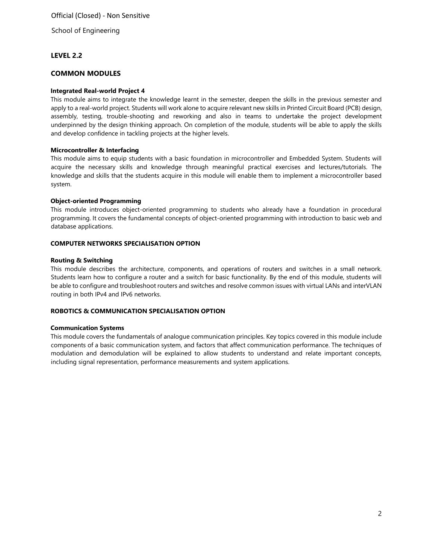School of Engineering

# **LEVEL 2.2**

# **COMMON MODULES**

#### **Integrated Real-world Project 4**

This module aims to integrate the knowledge learnt in the semester, deepen the skills in the previous semester and apply to a real-world project. Students will work alone to acquire relevant new skills in Printed Circuit Board (PCB) design, assembly, testing, trouble-shooting and reworking and also in teams to undertake the project development underpinned by the design thinking approach. On completion of the module, students will be able to apply the skills and develop confidence in tackling projects at the higher levels.

#### **Microcontroller & Interfacing**

This module aims to equip students with a basic foundation in microcontroller and Embedded System. Students will acquire the necessary skills and knowledge through meaningful practical exercises and lectures/tutorials. The knowledge and skills that the students acquire in this module will enable them to implement a microcontroller based system.

#### **Object-oriented Programming**

This module introduces object-oriented programming to students who already have a foundation in procedural programming. It covers the fundamental concepts of object-oriented programming with introduction to basic web and database applications.

# **COMPUTER NETWORKS SPECIALISATION OPTION**

### **Routing & Switching**

This module describes the architecture, components, and operations of routers and switches in a small network. Students learn how to configure a router and a switch for basic functionality. By the end of this module, students will be able to configure and troubleshoot routers and switches and resolve common issues with virtual LANs and interVLAN routing in both IPv4 and IPv6 networks.

# **ROBOTICS & COMMUNICATION SPECIALISATION OPTION**

#### **Communication Systems**

This module covers the fundamentals of analogue communication principles. Key topics covered in this module include components of a basic communication system, and factors that affect communication performance. The techniques of modulation and demodulation will be explained to allow students to understand and relate important concepts, including signal representation, performance measurements and system applications.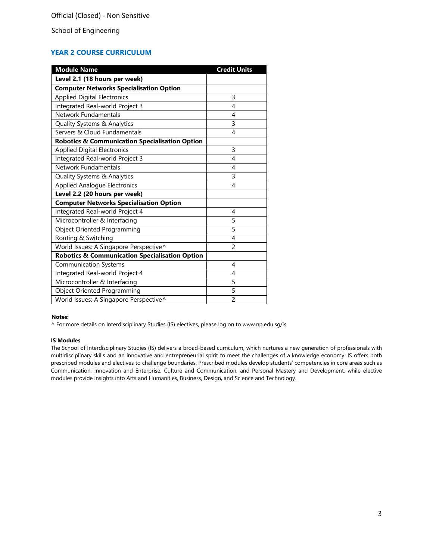# **YEAR 2 COURSE CURRICULUM**

| <b>Module Name</b>                                        | <b>Credit Units</b> |
|-----------------------------------------------------------|---------------------|
| Level 2.1 (18 hours per week)                             |                     |
| <b>Computer Networks Specialisation Option</b>            |                     |
| <b>Applied Digital Electronics</b>                        | 3                   |
| Integrated Real-world Project 3                           | 4                   |
| Network Fundamentals                                      | 4                   |
| Quality Systems & Analytics                               | 3                   |
| Servers & Cloud Fundamentals                              | 4                   |
| <b>Robotics &amp; Communication Specialisation Option</b> |                     |
| <b>Applied Digital Electronics</b>                        | 3                   |
| Integrated Real-world Project 3                           | 4                   |
| Network Fundamentals                                      | 4                   |
| Quality Systems & Analytics                               | 3                   |
| <b>Applied Analogue Electronics</b>                       | 4                   |
| Level 2.2 (20 hours per week)                             |                     |
| <b>Computer Networks Specialisation Option</b>            |                     |
| Integrated Real-world Project 4                           | 4                   |
| Microcontroller & Interfacing                             | 5                   |
| <b>Object Oriented Programming</b>                        | 5                   |
| Routing & Switching                                       | 4                   |
| World Issues: A Singapore Perspective^                    | $\overline{c}$      |
| <b>Robotics &amp; Communication Specialisation Option</b> |                     |
| <b>Communication Systems</b>                              | 4                   |
| Integrated Real-world Project 4                           | 4                   |
| Microcontroller & Interfacing                             | 5                   |
| <b>Object Oriented Programming</b>                        | 5                   |
| World Issues: A Singapore Perspective^                    | $\overline{c}$      |

#### **Notes:**

^ For more details on Interdisciplinary Studies (IS) electives, please log on to [www.np.edu.sg/is](http://www.np.edu.sg/is/)

#### **IS Modules**

The School of Interdisciplinary Studies (IS) delivers a broad-based curriculum, which nurtures a new generation of professionals with multidisciplinary skills and an innovative and entrepreneurial spirit to meet the challenges of a knowledge economy. IS offers both prescribed modules and electives to challenge boundaries. Prescribed modules develop students' competencies in core areas such as Communication, Innovation and Enterprise, Culture and Communication, and Personal Mastery and Development, while elective modules provide insights into Arts and Humanities, Business, Design, and Science and Technology.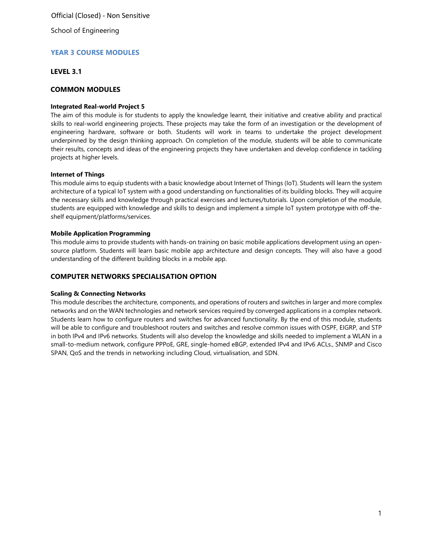School of Engineering

# **YEAR 3 COURSE MODULES**

### **LEVEL 3.1**

# **COMMON MODULES**

#### **Integrated Real-world Project 5**

The aim of this module is for students to apply the knowledge learnt, their initiative and creative ability and practical skills to real-world engineering projects. These projects may take the form of an investigation or the development of engineering hardware, software or both. Students will work in teams to undertake the project development underpinned by the design thinking approach. On completion of the module, students will be able to communicate their results, concepts and ideas of the engineering projects they have undertaken and develop confidence in tackling projects at higher levels.

### **Internet of Things**

This module aims to equip students with a basic knowledge about Internet of Things (IoT). Students will learn the system architecture of a typical IoT system with a good understanding on functionalities of its building blocks. They will acquire the necessary skills and knowledge through practical exercises and lectures/tutorials. Upon completion of the module, students are equipped with knowledge and skills to design and implement a simple IoT system prototype with off-theshelf equipment/platforms/services.

#### **Mobile Application Programming**

This module aims to provide students with hands-on training on basic mobile applications development using an opensource platform. Students will learn basic mobile app architecture and design concepts. They will also have a good understanding of the different building blocks in a mobile app.

# **COMPUTER NETWORKS SPECIALISATION OPTION**

#### **Scaling & Connecting Networks**

This module describes the architecture, components, and operations of routers and switches in larger and more complex networks and on the WAN technologies and network services required by converged applications in a complex network. Students learn how to configure routers and switches for advanced functionality. By the end of this module, students will be able to configure and troubleshoot routers and switches and resolve common issues with OSPF, EIGRP, and STP in both IPv4 and IPv6 networks. Students will also develop the knowledge and skills needed to implement a WLAN in a small-to-medium network, configure PPPoE, GRE, single-homed eBGP, extended IPv4 and IPv6 ACLs., SNMP and Cisco SPAN, QoS and the trends in networking including Cloud, virtualisation, and SDN.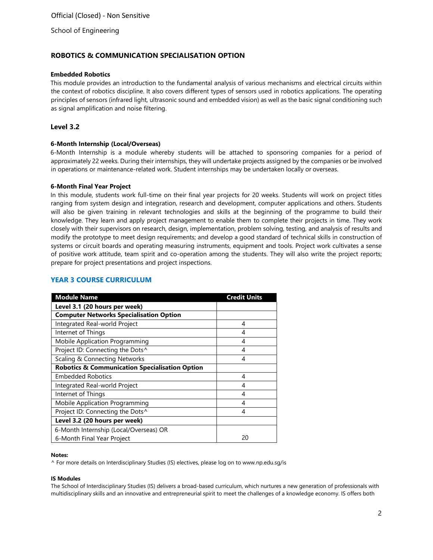# **ROBOTICS & COMMUNICATION SPECIALISATION OPTION**

#### **Embedded Robotics**

This module provides an introduction to the fundamental analysis of various mechanisms and electrical circuits within the context of robotics discipline. It also covers different types of sensors used in robotics applications. The operating principles of sensors (infrared light, ultrasonic sound and embedded vision) as well as the basic signal conditioning such as signal amplification and noise filtering.

# **Level 3.2**

### **6-Month Internship (Local/Overseas)**

6-Month Internship is a module whereby students will be attached to sponsoring companies for a period of approximately 22 weeks. During their internships, they will undertake projects assigned by the companies or be involved in operations or maintenance-related work. Student internships may be undertaken locally or overseas.

#### **6-Month Final Year Project**

In this module, students work full-time on their final year projects for 20 weeks. Students will work on project titles ranging from system design and integration, research and development, computer applications and others. Students will also be given training in relevant technologies and skills at the beginning of the programme to build their knowledge. They learn and apply project management to enable them to complete their projects in time. They work closely with their supervisors on research, design, implementation, problem solving, testing, and analysis of results and modify the prototype to meet design requirements; and develop a good standard of technical skills in construction of systems or circuit boards and operating measuring instruments, equipment and tools. Project work cultivates a sense of positive work attitude, team spirit and co-operation among the students. They will also write the project reports; prepare for project presentations and project inspections.

# **YEAR 3 COURSE CURRICULUM**

| <b>Module Name</b>                                        | <b>Credit Units</b> |
|-----------------------------------------------------------|---------------------|
| Level 3.1 (20 hours per week)                             |                     |
| <b>Computer Networks Specialisation Option</b>            |                     |
| Integrated Real-world Project                             | 4                   |
| Internet of Things                                        | 4                   |
| <b>Mobile Application Programming</b>                     | 4                   |
| Project ID: Connecting the Dots^                          | 4                   |
| Scaling & Connecting Networks                             | 4                   |
| <b>Robotics &amp; Communication Specialisation Option</b> |                     |
| <b>Embedded Robotics</b>                                  | 4                   |
| Integrated Real-world Project                             | 4                   |
| Internet of Things                                        | 4                   |
| Mobile Application Programming                            | 4                   |
| Project ID: Connecting the Dots^                          | 4                   |
| Level 3.2 (20 hours per week)                             |                     |
| 6-Month Internship (Local/Overseas) OR                    |                     |
| 6-Month Final Year Project                                | 20                  |

#### **Notes:**

^ For more details on Interdisciplinary Studies (IS) electives, please log on to [www.np.edu.sg/is](http://www.np.edu.sg/is/)

#### **IS Modules**

The School of Interdisciplinary Studies (IS) delivers a broad-based curriculum, which nurtures a new generation of professionals with multidisciplinary skills and an innovative and entrepreneurial spirit to meet the challenges of a knowledge economy. IS offers both